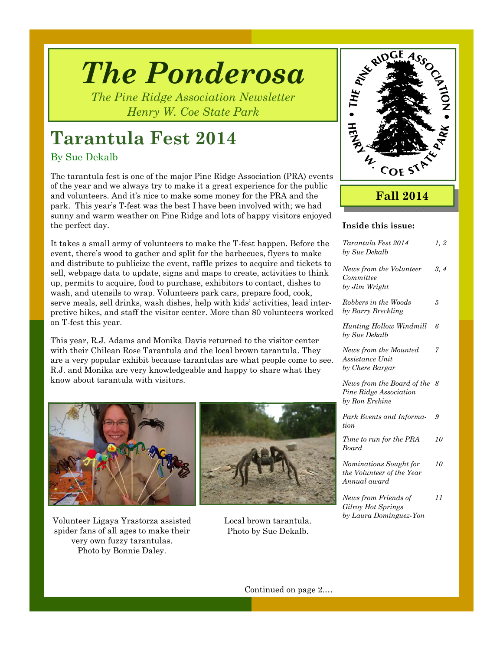# *The Ponderosa*

*The Pine Ridge Association Newsletter Henry W. Coe State Park* 

# **Tarantula Fest 2014**

### By Sue Dekalb

The tarantula fest is one of the major Pine Ridge Association (PRA) events of the year and we always try to make it a great experience for the public and volunteers. And it's nice to make some money for the PRA and the park. This year's T-fest was the best I have been involved with; we had sunny and warm weather on Pine Ridge and lots of happy visitors enjoyed the perfect day.

It takes a small army of volunteers to make the T-fest happen. Before the event, there's wood to gather and split for the barbecues, flyers to make and distribute to publicize the event, raffle prizes to acquire and tickets to sell, webpage data to update, signs and maps to create, activities to think up, permits to acquire, food to purchase, exhibitors to contact, dishes to wash, and utensils to wrap. Volunteers park cars, prepare food, cook, serve meals, sell drinks, wash dishes, help with kids' activities, lead interpretive hikes, and staff the visitor center. More than 80 volunteers worked on T-fest this year.

This year, R.J. Adams and Monika Davis returned to the visitor center with their Chilean Rose Tarantula and the local brown tarantula. They are a very popular exhibit because tarantulas are what people come to see. R.J. and Monika are very knowledgeable and happy to share what they know about tarantula with visitors.



Volunteer Ligaya Yrastorza assisted spider fans of all ages to make their very own fuzzy tarantulas. Photo by Bonnie Daley.



Local brown tarantula. Photo by Sue Dekalb.



# **Fall 2014**

### **Inside this issue:**

| Tarantula Fest 2014<br>by Sue Dekalb                                   | 1, 2 |
|------------------------------------------------------------------------|------|
| News from the Volunteer<br>Committee<br>by Jim Wright                  | 3, 4 |
| Robbers in the Woods<br>by Barry Breckling                             | 5    |
| <b>Hunting Hollow Windmill</b><br>by Sue Dekalb                        | 6    |
| News from the Mounted<br>Assistance Unit<br>by Chere Bargar            | 7    |
| News from the Board of the<br>Pine Ridge Association<br>by Ron Erskine | -8   |
| Park Events and Informa-<br>tion                                       | 9    |
| Time to run for the PRA<br>Board                                       | 10   |
| Nominations Sought for<br>the Volunteer of the Year<br>Annual award    | 10   |
| News from Friends of<br>Gilroy Hot Springs<br>by Laura Dominguez-Yon   | 11   |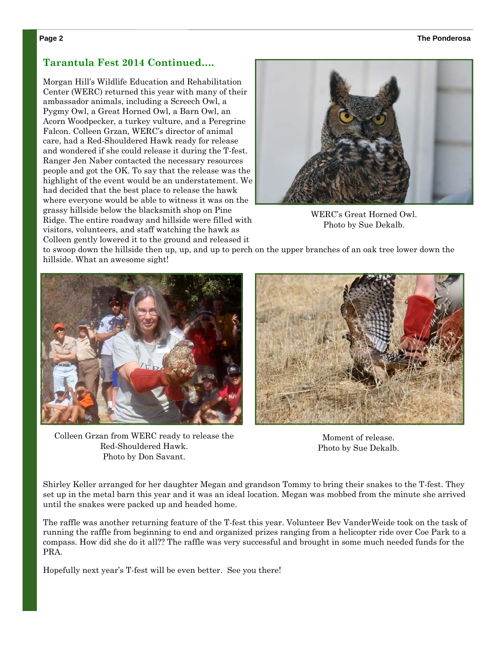#### **Page 2 The Ponderosa**

### **Tarantula Fest 2014 Continued….**

Morgan Hill's Wildlife Education and Rehabilitation Center (WERC) returned this year with many of their ambassador animals, including a Screech Owl, a Pygmy Owl, a Great Horned Owl, a Barn Owl, an Acorn Woodpecker, a turkey vulture, and a Peregrine Falcon. Colleen Grzan, WERC's director of animal care, had a Red-Shouldered Hawk ready for release and wondered if she could release it during the T-fest. Ranger Jen Naber contacted the necessary resources people and got the OK. To say that the release was the highlight of the event would be an understatement. We had decided that the best place to release the hawk where everyone would be able to witness it was on the grassy hillside below the blacksmith shop on Pine Ridge. The entire roadway and hillside were filled with visitors, volunteers, and staff watching the hawk as Colleen gently lowered it to the ground and released it



WERC's Great Horned Owl. Photo by Sue Dekalb.

to swoop down the hillside then up, up, and up to perch on the upper branches of an oak tree lower down the hillside. What an awesome sight!



Colleen Grzan from WERC ready to release the Red-Shouldered Hawk. Photo by Don Savant.



Moment of release. Photo by Sue Dekalb.

Shirley Keller arranged for her daughter Megan and grandson Tommy to bring their snakes to the T-fest. They set up in the metal barn this year and it was an ideal location. Megan was mobbed from the minute she arrived until the snakes were packed up and headed home.

The raffle was another returning feature of the T-fest this year. Volunteer Bev VanderWeide took on the task of running the raffle from beginning to end and organized prizes ranging from a helicopter ride over Coe Park to a compass. How did she do it all?? The raffle was very successful and brought in some much needed funds for the PRA.

Hopefully next year's T-fest will be even better. See you there!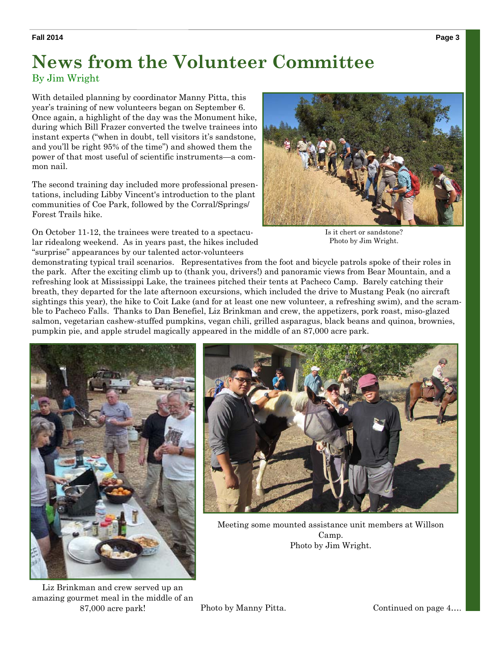# **News from the Volunteer Committee**

By Jim Wright

With detailed planning by coordinator Manny Pitta, this year's training of new volunteers began on September 6. Once again, a highlight of the day was the Monument hike, during which Bill Frazer converted the twelve trainees into instant experts ("when in doubt, tell visitors it's sandstone, and you'll be right 95% of the time") and showed them the power of that most useful of scientific instruments—a common nail.

The second training day included more professional presentations, including Libby Vincent's introduction to the plant communities of Coe Park, followed by the Corral/Springs/ Forest Trails hike.

On October 11-12, the trainees were treated to a spectacular ridealong weekend. As in years past, the hikes included "surprise" appearances by our talented actor-volunteers



Is it chert or sandstone? Photo by Jim Wright.

demonstrating typical trail scenarios. Representatives from the foot and bicycle patrols spoke of their roles in the park. After the exciting climb up to (thank you, drivers!) and panoramic views from Bear Mountain, and a refreshing look at Mississippi Lake, the trainees pitched their tents at Pacheco Camp. Barely catching their breath, they departed for the late afternoon excursions, which included the drive to Mustang Peak (no aircraft sightings this year), the hike to Coit Lake (and for at least one new volunteer, a refreshing swim), and the scramble to Pacheco Falls. Thanks to Dan Benefiel, Liz Brinkman and crew, the appetizers, pork roast, miso-glazed salmon, vegetarian cashew-stuffed pumpkins, vegan chili, grilled asparagus, black beans and quinoa, brownies, pumpkin pie, and apple strudel magically appeared in the middle of an 87,000 acre park.



Meeting some mounted assistance unit members at Willson Camp. Photo by Jim Wright.

Liz Brinkman and crew served up an amazing gourmet meal in the middle of an 87,000 acre park!

Photo by Manny Pitta. Continued on page 4...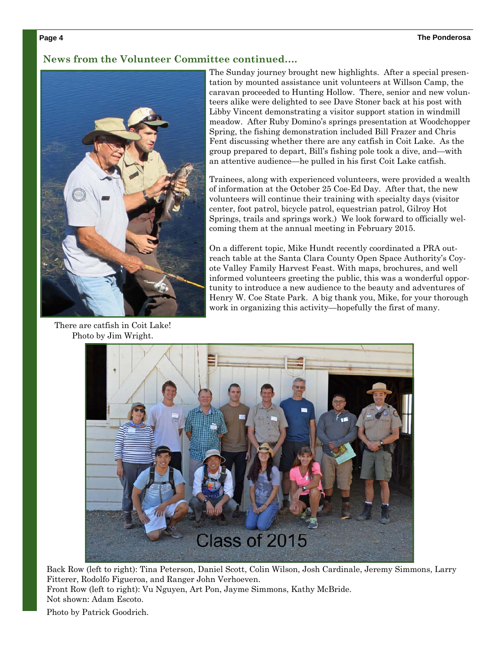### **News from the Volunteer Committee continued….**



There are catfish in Coit Lake! Photo by Jim Wright.

The Sunday journey brought new highlights. After a special presentation by mounted assistance unit volunteers at Willson Camp, the caravan proceeded to Hunting Hollow. There, senior and new volunteers alike were delighted to see Dave Stoner back at his post with Libby Vincent demonstrating a visitor support station in windmill meadow. After Ruby Domino's springs presentation at Woodchopper Spring, the fishing demonstration included Bill Frazer and Chris Fent discussing whether there are any catfish in Coit Lake. As the group prepared to depart, Bill's fishing pole took a dive, and—with an attentive audience—he pulled in his first Coit Lake catfish.

Trainees, along with experienced volunteers, were provided a wealth of information at the October 25 Coe-Ed Day. After that, the new volunteers will continue their training with specialty days (visitor center, foot patrol, bicycle patrol, equestrian patrol, Gilroy Hot Springs, trails and springs work.) We look forward to officially welcoming them at the annual meeting in February 2015.

On a different topic, Mike Hundt recently coordinated a PRA outreach table at the Santa Clara County Open Space Authority's Coyote Valley Family Harvest Feast. With maps, brochures, and well informed volunteers greeting the public, this was a wonderful opportunity to introduce a new audience to the beauty and adventures of Henry W. Coe State Park. A big thank you, Mike, for your thorough work in organizing this activity—hopefully the first of many.



Back Row (left to right): Tina Peterson, Daniel Scott, Colin Wilson, Josh Cardinale, Jeremy Simmons, Larry Fitterer, Rodolfo Figueroa, and Ranger John Verhoeven. Front Row (left to right): Vu Nguyen, Art Pon, Jayme Simmons, Kathy McBride. Not shown: Adam Escoto.

Photo by Patrick Goodrich.

#### **Page 4**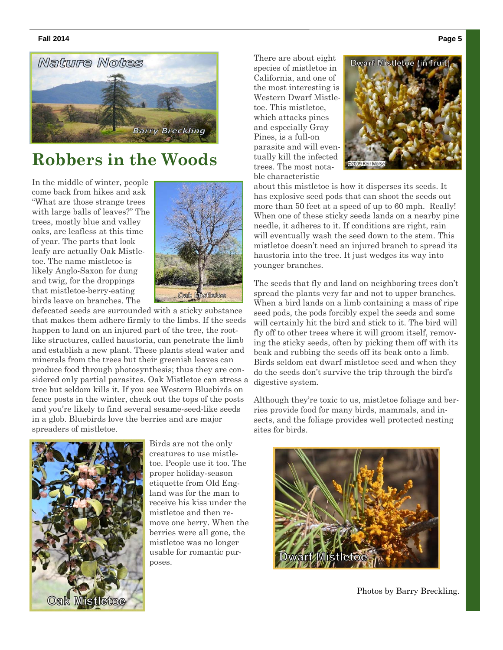#### **Fall 2014 Page 5**



# **Robbers in the Woods**

In the middle of winter, people come back from hikes and ask "What are those strange trees with large balls of leaves?" The trees, mostly blue and valley oaks, are leafless at this time of year. The parts that look leafy are actually Oak Mistletoe. The name mistletoe is likely Anglo-Saxon for dung and twig, for the droppings that mistletoe-berry-eating birds leave on branches. The



defecated seeds are surrounded with a sticky substance that makes them adhere firmly to the limbs. If the seeds happen to land on an injured part of the tree, the rootlike structures, called haustoria, can penetrate the limb and establish a new plant. These plants steal water and minerals from the trees but their greenish leaves can produce food through photosynthesis; thus they are considered only partial parasites. Oak Mistletoe can stress a tree but seldom kills it. If you see Western Bluebirds on fence posts in the winter, check out the tops of the posts and you're likely to find several sesame-seed-like seeds in a glob. Bluebirds love the berries and are major spreaders of mistletoe.



Birds are not the only creatures to use mistletoe. People use it too. The proper holiday-season etiquette from Old England was for the man to receive his kiss under the mistletoe and then remove one berry. When the berries were all gone, the mistletoe was no longer usable for romantic purposes.

There are about eight species of mistletoe in California, and one of the most interesting is Western Dwarf Mistletoe. This mistletoe, which attacks pines and especially Gray Pines, is a full-on parasite and will eventually kill the infected trees. The most notable characteristic



about this mistletoe is how it disperses its seeds. It has explosive seed pods that can shoot the seeds out more than 50 feet at a speed of up to 60 mph. Really! When one of these sticky seeds lands on a nearby pine needle, it adheres to it. If conditions are right, rain will eventually wash the seed down to the stem. This mistletoe doesn't need an injured branch to spread its haustoria into the tree. It just wedges its way into younger branches.

The seeds that fly and land on neighboring trees don't spread the plants very far and not to upper branches. When a bird lands on a limb containing a mass of ripe seed pods, the pods forcibly expel the seeds and some will certainly hit the bird and stick to it. The bird will fly off to other trees where it will groom itself, removing the sticky seeds, often by picking them off with its beak and rubbing the seeds off its beak onto a limb. Birds seldom eat dwarf mistletoe seed and when they do the seeds don't survive the trip through the bird's digestive system.

Although they're toxic to us, mistletoe foliage and berries provide food for many birds, mammals, and insects, and the foliage provides well protected nesting sites for birds.



Photos by Barry Breckling.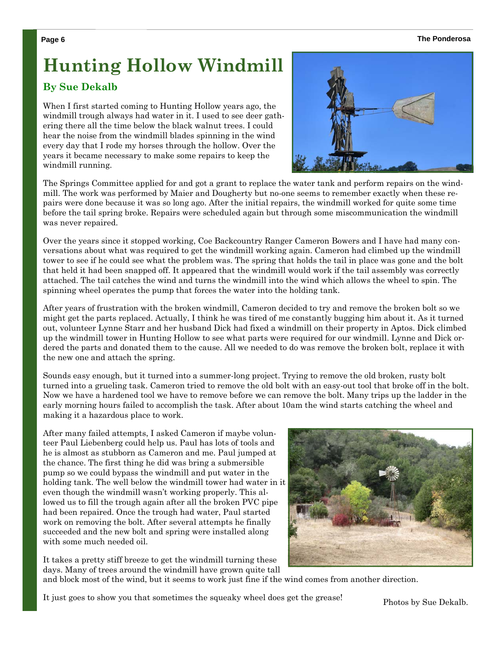#### **Page 6 The Ponderosa**

# **Hunting Hollow Windmill**

## **By Sue Dekalb**

When I first started coming to Hunting Hollow years ago, the windmill trough always had water in it. I used to see deer gathering there all the time below the black walnut trees. I could hear the noise from the windmill blades spinning in the wind every day that I rode my horses through the hollow. Over the years it became necessary to make some repairs to keep the windmill running.



The Springs Committee applied for and got a grant to replace the water tank and perform repairs on the windmill. The work was performed by Maier and Dougherty but no-one seems to remember exactly when these repairs were done because it was so long ago. After the initial repairs, the windmill worked for quite some time before the tail spring broke. Repairs were scheduled again but through some miscommunication the windmill was never repaired.

Over the years since it stopped working, Coe Backcountry Ranger Cameron Bowers and I have had many conversations about what was required to get the windmill working again. Cameron had climbed up the windmill tower to see if he could see what the problem was. The spring that holds the tail in place was gone and the bolt that held it had been snapped off. It appeared that the windmill would work if the tail assembly was correctly attached. The tail catches the wind and turns the windmill into the wind which allows the wheel to spin. The spinning wheel operates the pump that forces the water into the holding tank.

After years of frustration with the broken windmill, Cameron decided to try and remove the broken bolt so we might get the parts replaced. Actually, I think he was tired of me constantly bugging him about it. As it turned out, volunteer Lynne Starr and her husband Dick had fixed a windmill on their property in Aptos. Dick climbed up the windmill tower in Hunting Hollow to see what parts were required for our windmill. Lynne and Dick ordered the parts and donated them to the cause. All we needed to do was remove the broken bolt, replace it with the new one and attach the spring.

Sounds easy enough, but it turned into a summer-long project. Trying to remove the old broken, rusty bolt turned into a grueling task. Cameron tried to remove the old bolt with an easy-out tool that broke off in the bolt. Now we have a hardened tool we have to remove before we can remove the bolt. Many trips up the ladder in the early morning hours failed to accomplish the task. After about 10am the wind starts catching the wheel and making it a hazardous place to work.

After many failed attempts, I asked Cameron if maybe volunteer Paul Liebenberg could help us. Paul has lots of tools and he is almost as stubborn as Cameron and me. Paul jumped at the chance. The first thing he did was bring a submersible pump so we could bypass the windmill and put water in the holding tank. The well below the windmill tower had water in it even though the windmill wasn't working properly. This allowed us to fill the trough again after all the broken PVC pipe had been repaired. Once the trough had water, Paul started work on removing the bolt. After several attempts he finally succeeded and the new bolt and spring were installed along with some much needed oil.

It takes a pretty stiff breeze to get the windmill turning these days. Many of trees around the windmill have grown quite tall



and block most of the wind, but it seems to work just fine if the wind comes from another direction.

It just goes to show you that sometimes the squeaky wheel does get the grease! Photos by Sue Dekalb.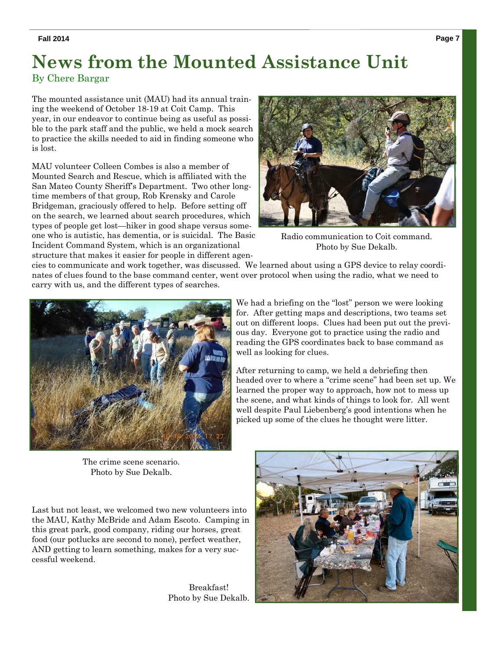# **News from the Mounted Assistance Unit**

### By Chere Bargar

The mounted assistance unit (MAU) had its annual training the weekend of October 18-19 at Coit Camp. This year, in our endeavor to continue being as useful as possible to the park staff and the public, we held a mock search to practice the skills needed to aid in finding someone who is lost.

MAU volunteer Colleen Combes is also a member of Mounted Search and Rescue, which is affiliated with the San Mateo County Sheriff's Department. Two other longtime members of that group, Rob Krensky and Carole Bridgeman, graciously offered to help. Before setting off on the search, we learned about search procedures, which types of people get lost—hiker in good shape versus someone who is autistic, has dementia, or is suicidal. The Basic Incident Command System, which is an organizational structure that makes it easier for people in different agen-



Radio communication to Coit command. Photo by Sue Dekalb.

cies to communicate and work together, was discussed. We learned about using a GPS device to relay coordinates of clues found to the base command center, went over protocol when using the radio, what we need to carry with us, and the different types of searches.



The crime scene scenario. Photo by Sue Dekalb.

Last but not least, we welcomed two new volunteers into the MAU, Kathy McBride and Adam Escoto. Camping in this great park, good company, riding our horses, great food (our potlucks are second to none), perfect weather, AND getting to learn something, makes for a very successful weekend.

> Breakfast! Photo by Sue Dekalb.

out on different loops. Clues had been put out the previous day. Everyone got to practice using the radio and reading the GPS coordinates back to base command as well as looking for clues. After returning to camp, we held a debriefing then

headed over to where a "crime scene" had been set up. We learned the proper way to approach, how not to mess up the scene, and what kinds of things to look for. All went well despite Paul Liebenberg's good intentions when he picked up some of the clues he thought were litter.

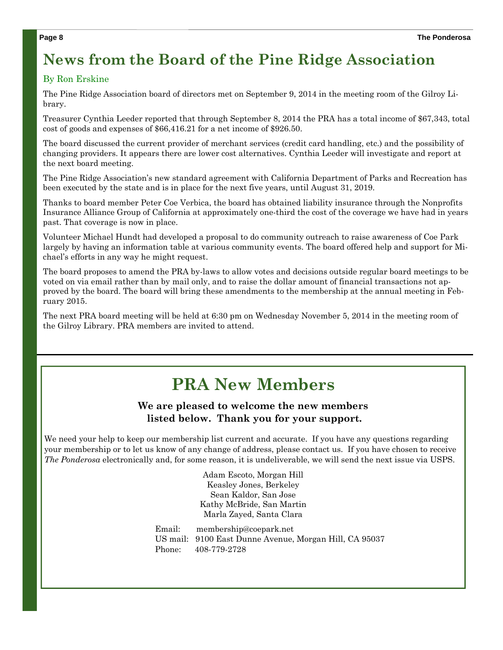# **News from the Board of the Pine Ridge Association**

### By Ron Erskine

The Pine Ridge Association board of directors met on September 9, 2014 in the meeting room of the Gilroy Library.

Treasurer Cynthia Leeder reported that through September 8, 2014 the PRA has a total income of \$67,343, total cost of goods and expenses of \$66,416.21 for a net income of \$926.50.

The board discussed the current provider of merchant services (credit card handling, etc.) and the possibility of changing providers. It appears there are lower cost alternatives. Cynthia Leeder will investigate and report at the next board meeting.

The Pine Ridge Association's new standard agreement with California Department of Parks and Recreation has been executed by the state and is in place for the next five years, until August 31, 2019.

Thanks to board member Peter Coe Verbica, the board has obtained liability insurance through the Nonprofits Insurance Alliance Group of California at approximately one-third the cost of the coverage we have had in years past. That coverage is now in place.

Volunteer Michael Hundt had developed a proposal to do community outreach to raise awareness of Coe Park largely by having an information table at various community events. The board offered help and support for Michael's efforts in any way he might request.

The board proposes to amend the PRA by-laws to allow votes and decisions outside regular board meetings to be voted on via email rather than by mail only, and to raise the dollar amount of financial transactions not approved by the board. The board will bring these amendments to the membership at the annual meeting in February 2015.

The next PRA board meeting will be held at 6:30 pm on Wednesday November 5, 2014 in the meeting room of the Gilroy Library. PRA members are invited to attend.

# **PRA New Members**

### **We are pleased to welcome the new members listed below. Thank you for your support.**

We need your help to keep our membership list current and accurate. If you have any questions regarding your membership or to let us know of any change of address, please contact us. If you have chosen to receive *The Ponderosa* electronically and, for some reason, it is undeliverable, we will send the next issue via USPS.

> Adam Escoto, Morgan Hill Keasley Jones, Berkeley Sean Kaldor, San Jose Kathy McBride, San Martin Marla Zayed, Santa Clara

Email: membership@coepark.net US mail: 9100 East Dunne Avenue, Morgan Hill, CA 95037 Phone: 408-779-2728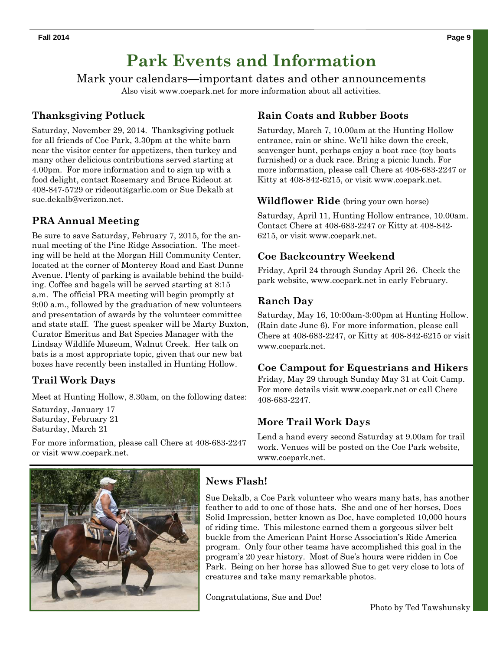# **Park Events and Information**

Mark your calendars—important dates and other announcements Also visit www.coepark.net for more information about all activities.

## **Thanksgiving Potluck**

Saturday, November 29, 2014. Thanksgiving potluck for all friends of Coe Park, 3.30pm at the white barn near the visitor center for appetizers, then turkey and many other delicious contributions served starting at 4.00pm. For more information and to sign up with a food delight, contact Rosemary and Bruce Rideout at 408-847-5729 or rideout@garlic.com or Sue Dekalb at sue.dekalb@verizon.net.

# **PRA Annual Meeting**

Be sure to save Saturday, February 7, 2015, for the annual meeting of the Pine Ridge Association. The meeting will be held at the Morgan Hill Community Center, located at the corner of Monterey Road and East Dunne Avenue. Plenty of parking is available behind the building. Coffee and bagels will be served starting at 8:15 a.m. The official PRA meeting will begin promptly at 9:00 a.m., followed by the graduation of new volunteers and presentation of awards by the volunteer committee and state staff. The guest speaker will be Marty Buxton, Curator Emeritus and Bat Species Manager with the Lindsay Wildlife Museum, Walnut Creek. Her talk on bats is a most appropriate topic, given that our new bat boxes have recently been installed in Hunting Hollow.

## **Trail Work Days**

Meet at Hunting Hollow, 8.30am, on the following dates:

Saturday, January 17 Saturday, February 21 Saturday, March 21

For more information, please call Chere at 408-683-2247 or visit www.coepark.net.

# **Rain Coats and Rubber Boots**

Saturday, March 7, 10.00am at the Hunting Hollow entrance, rain or shine. We'll hike down the creek, scavenger hunt, perhaps enjoy a boat race (toy boats furnished) or a duck race. Bring a picnic lunch. For more information, please call Chere at 408-683-2247 or Kitty at 408-842-6215, or visit www.coepark.net.

### **Wildflower Ride** (bring your own horse)

Saturday, April 11, Hunting Hollow entrance, 10.00am. Contact Chere at 408-683-2247 or Kitty at 408-842- 6215, or visit www.coepark.net.

### **Coe Backcountry Weekend**

Friday, April 24 through Sunday April 26. Check the park website, www.coepark.net in early February.

### **Ranch Day**

Saturday, May 16, 10:00am-3:00pm at Hunting Hollow. (Rain date June 6). For more information, please call Chere at 408-683-2247, or Kitty at 408-842-6215 or visit www.coepark.net.

### **Coe Campout for Equestrians and Hikers**

Friday, May 29 through Sunday May 31 at Coit Camp. For more details visit www.coepark.net or call Chere 408-683-2247.

### **More Trail Work Days**

Lend a hand every second Saturday at 9.00am for trail work. Venues will be posted on the Coe Park website, www.coepark.net.



### **News Flash!**

Sue Dekalb, a Coe Park volunteer who wears many hats, has another feather to add to one of those hats. She and one of her horses, Docs Solid Impression, better known as Doc, have completed 10,000 hours of riding time. This milestone earned them a gorgeous silver belt buckle from the American Paint Horse Association's Ride America program. Only four other teams have accomplished this goal in the program's 20 year history. Most of Sue's hours were ridden in Coe Park. Being on her horse has allowed Sue to get very close to lots of creatures and take many remarkable photos.

Congratulations, Sue and Doc!

Photo by Ted Tawshunsky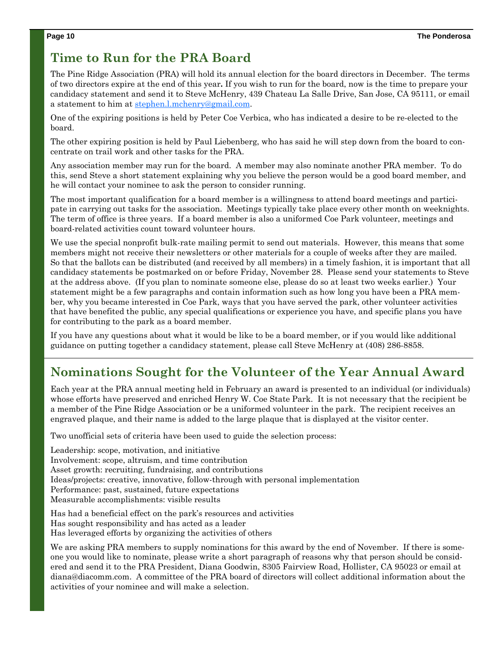# **Time to Run for the PRA Board**

The Pine Ridge Association (PRA) will hold its annual election for the board directors in December. The terms of two directors expire at the end of this year**.** If you wish to run for the board, now is the time to prepare your candidacy statement and send it to Steve McHenry, 439 Chateau La Salle Drive, San Jose, CA 95111, or email a statement to him at stephen.l.mchenry@gmail.com.

One of the expiring positions is held by Peter Coe Verbica, who has indicated a desire to be re-elected to the board.

The other expiring position is held by Paul Liebenberg, who has said he will step down from the board to concentrate on trail work and other tasks for the PRA.

Any association member may run for the board. A member may also nominate another PRA member. To do this, send Steve a short statement explaining why you believe the person would be a good board member, and he will contact your nominee to ask the person to consider running.

The most important qualification for a board member is a willingness to attend board meetings and participate in carrying out tasks for the association. Meetings typically take place every other month on weeknights. The term of office is three years. If a board member is also a uniformed Coe Park volunteer, meetings and board-related activities count toward volunteer hours.

We use the special nonprofit bulk-rate mailing permit to send out materials. However, this means that some members might not receive their newsletters or other materials for a couple of weeks after they are mailed. So that the ballots can be distributed (and received by all members) in a timely fashion, it is important that all candidacy statements be postmarked on or before Friday, November 28. Please send your statements to Steve at the address above. (If you plan to nominate someone else, please do so at least two weeks earlier.) Your statement might be a few paragraphs and contain information such as how long you have been a PRA member, why you became interested in Coe Park, ways that you have served the park, other volunteer activities that have benefited the public, any special qualifications or experience you have, and specific plans you have for contributing to the park as a board member.

If you have any questions about what it would be like to be a board member, or if you would like additional guidance on putting together a candidacy statement, please call Steve McHenry at (408) 286-8858.

# **Nominations Sought for the Volunteer of the Year Annual Award**

Each year at the PRA annual meeting held in February an award is presented to an individual (or individuals) whose efforts have preserved and enriched Henry W. Coe State Park. It is not necessary that the recipient be a member of the Pine Ridge Association or be a uniformed volunteer in the park. The recipient receives an engraved plaque, and their name is added to the large plaque that is displayed at the visitor center.

Two unofficial sets of criteria have been used to guide the selection process:

Leadership: scope, motivation, and initiative Involvement: scope, altruism, and time contribution Asset growth: recruiting, fundraising, and contributions Ideas/projects: creative, innovative, follow-through with personal implementation Performance: past, sustained, future expectations Measurable accomplishments: visible results

Has had a beneficial effect on the park's resources and activities Has sought responsibility and has acted as a leader Has leveraged efforts by organizing the activities of others

We are asking PRA members to supply nominations for this award by the end of November. If there is someone you would like to nominate, please write a short paragraph of reasons why that person should be considered and send it to the PRA President, Diana Goodwin, 8305 Fairview Road, Hollister, CA 95023 or email at diana@diacomm.com. A committee of the PRA board of directors will collect additional information about the activities of your nominee and will make a selection.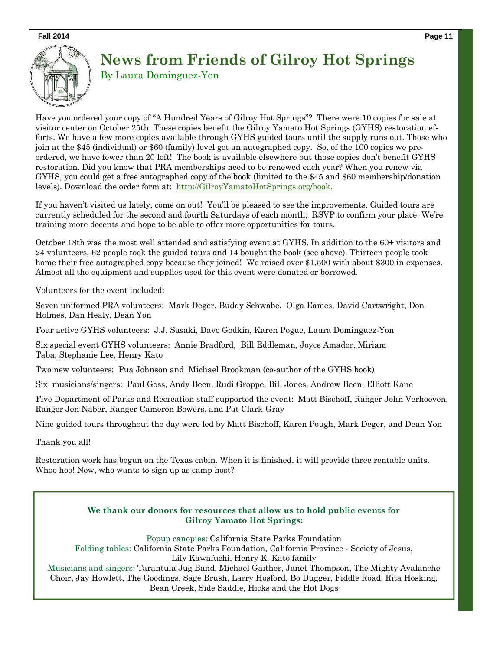**Fall 2014 Page 11** 



# **News from Friends of Gilroy Hot Springs** By Laura Dominguez-Yon

Have you ordered your copy of "A Hundred Years of Gilroy Hot Springs"? There were 10 copies for sale at visitor center on October 25th. These copies benefit the Gilroy Yamato Hot Springs (GYHS) restoration efforts. We have a few more copies available through GYHS guided tours until the supply runs out. Those who join at the \$45 (individual) or \$60 (family) level get an autographed copy. So, of the 100 copies we preordered, we have fewer than 20 left! The book is available elsewhere but those copies don't benefit GYHS restoration. Did you know that PRA memberships need to be renewed each year? When you renew via GYHS, you could get a free autographed copy of the book (limited to the \$45 and \$60 membership/donation levels). Download the order form at: http://GilroyYamatoHotSprings.org/book.

If you haven't visited us lately, come on out! You'll be pleased to see the improvements. Guided tours are currently scheduled for the second and fourth Saturdays of each month; RSVP to confirm your place. We're training more docents and hope to be able to offer more opportunities for tours.

October 18th was the most well attended and satisfying event at GYHS. In addition to the 60+ visitors and 24 volunteers, 62 people took the guided tours and 14 bought the book (see above). Thirteen people took home their free autographed copy because they joined! We raised over \$1,500 with about \$300 in expenses. Almost all the equipment and supplies used for this event were donated or borrowed.

Volunteers for the event included:

Seven uniformed PRA volunteers: Mark Deger, Buddy Schwabe, Olga Eames, David Cartwright, Don Holmes, Dan Healy, Dean Yon

Four active GYHS volunteers: J.J. Sasaki, Dave Godkin, Karen Pogue, Laura Dominguez-Yon

Six special event GYHS volunteers: Annie Bradford, Bill Eddleman, Joyce Amador, Miriam Taba, Stephanie Lee, Henry Kato

Two new volunteers: Pua Johnson and Michael Brookman (co-author of the GYHS book)

Six musicians/singers: Paul Goss, Andy Been, Rudi Groppe, Bill Jones, Andrew Been, Elliott Kane

Five Department of Parks and Recreation staff supported the event: Matt Bischoff, Ranger John Verhoeven, Ranger Jen Naber, Ranger Cameron Bowers, and Pat Clark-Gray

Nine guided tours throughout the day were led by Matt Bischoff, Karen Pough, Mark Deger, and Dean Yon

Thank you all!

Restoration work has begun on the Texas cabin. When it is finished, it will provide three rentable units. Whoo hoo! Now, who wants to sign up as camp host?

### **We thank our donors for resources that allow us to hold public events for Gilroy Yamato Hot Springs:**

Popup canopies: California State Parks Foundation Folding tables: California State Parks Foundation, California Province - Society of Jesus, Lily Kawafuchi, Henry K. Kato family Musicians and singers: Tarantula Jug Band, Michael Gaither, Janet Thompson, The Mighty Avalanche Choir, Jay Howlett, The Goodings, Sage Brush, Larry Hosford, Bo Dugger, Fiddle Road, Rita Hosking, Bean Creek, Side Saddle, Hicks and the Hot Dogs